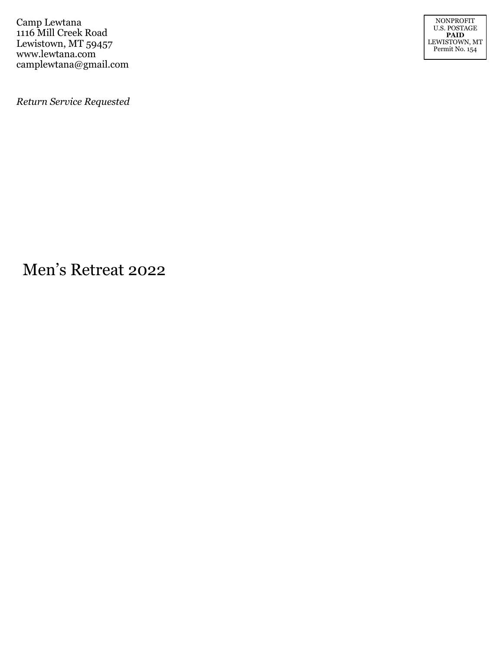Camp Lewtana 1116 Mill Creek Road Lewistown, MT 59457 www.lewtana.com camplewtana@gmail.com

NONPROFIT U.S. POSTAGE **PAID** LEWISTOWN, MT Permit No. 154

*Return Service Requested*

Men's Retreat 2022